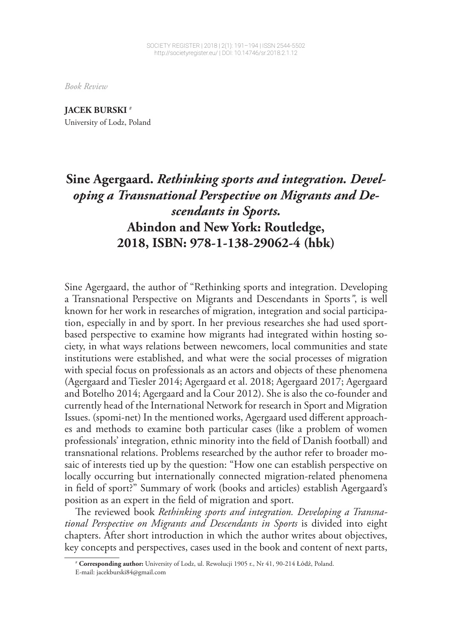*Book Review*

**JACEK BURSKI <sup>1</sup>** #

University of Lodz, Poland

## **Sine Agergaard.** *Rethinking sports and integration. Developing a Transnational Perspective on Migrants and Descendants in Sports.*  **Abindon and New York: Routledge, 2018, ISBN: 978-1-138-29062-4 (hbk)**

Sine Agergaard, the author of "Rethinking sports and integration. Developing a Transnational Perspective on Migrants and Descendants in Sports*"*, is well known for her work in researches of migration, integration and social participation, especially in and by sport. In her previous researches she had used sportbased perspective to examine how migrants had integrated within hosting society, in what ways relations between newcomers, local communities and state institutions were established, and what were the social processes of migration with special focus on professionals as an actors and objects of these phenomena (Agergaard and Tiesler 2014; Agergaard et al. 2018; Agergaard 2017; Agergaard and Botelho 2014; Agergaard and la Cour 2012). She is also the co-founder and currently head of the International Network for research in Sport and Migration Issues. (spomi-net) In the mentioned works, Agergaard used different approaches and methods to examine both particular cases (like a problem of women professionals' integration, ethnic minority into the field of Danish football) and transnational relations. Problems researched by the author refer to broader mosaic of interests tied up by the question: "How one can establish perspective on locally occurring but internationally connected migration-related phenomena in field of sport?" Summary of work (books and articles) establish Agergaard's position as an expert in the field of migration and sport.

The reviewed book *Rethinking sports and integration*. Developing a Transna*tional Perspective on Migrants and Descendants in Sports* is divided into eight chapters. After short introduction in which the author writes about objectives, key concepts and perspectives, cases used in the book and content of next parts,

<sup>#</sup> Corresponding author: University of Lodz, ul. Rewolucji 1905 r., Nr 41, 90-214 Łódź, Poland.

E-mail: jacekburski84@gmail.com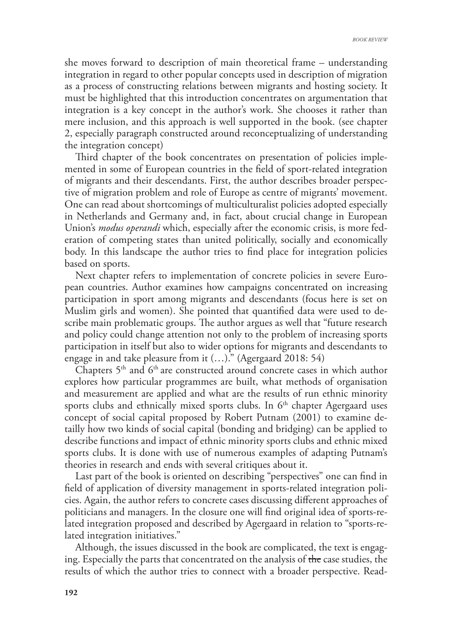she moves forward to description of main theoretical frame – understanding integration in regard to other popular concepts used in description of migration as a process of constructing relations between migrants and hosting society. It must be highlighted that this introduction concentrates on argumentation that integration is a key concept in the author's work. She chooses it rather than mere inclusion, and this approach is well supported in the book. (see chapter 2, especially paragraph constructed around reconceptualizing of understanding the integration concept)

Third chapter of the book concentrates on presentation of policies implemented in some of European countries in the field of sport-related integration of migrants and their descendants. First, the author describes broader perspective of migration problem and role of Europe as centre of migrants' movement. One can read about shortcomings of multiculturalist policies adopted especially in Netherlands and Germany and, in fact, about crucial change in European Union's *modus operandi* which, especially after the economic crisis, is more federation of competing states than united politically, socially and economically body. In this landscape the author tries to find place for integration policies based on sports.

Next chapter refers to implementation of concrete policies in severe European countries. Author examines how campaigns concentrated on increasing participation in sport among migrants and descendants (focus here is set on Muslim girls and women). She pointed that quantified data were used to describe main problematic groups. The author argues as well that "future research" and policy could change attention not only to the problem of increasing sports participation in itself but also to wider options for migrants and descendants to engage in and take pleasure from it  $(...)$ ." (Agergaard 2018: 54)

Chapters  $5<sup>th</sup>$  and  $6<sup>th</sup>$  are constructed around concrete cases in which author explores how particular programmes are built, what methods of organisation and measurement are applied and what are the results of run ethnic minority sports clubs and ethnically mixed sports clubs. In  $6<sup>th</sup>$  chapter Agergaard uses concept of social capital proposed by Robert Putnam (2001) to examine detailly how two kinds of social capital (bonding and bridging) can be applied to describe functions and impact of ethnic minority sports clubs and ethnic mixed sports clubs. It is done with use of numerous examples of adapting Putnam's theories in research and ends with several critiques about it.

Last part of the book is oriented on describing "perspectives" one can find in field of application of diversity management in sports-related integration policies. Again, the author refers to concrete cases discussing different approaches of politicians and managers. In the closure one will find original idea of sports-related integration proposed and described by Agergaard in relation to "sports-related integration initiatives."

Although, the issues discussed in the book are complicated, the text is engaging. Especially the parts that concentrated on the analysis of the case studies, the results of which the author tries to connect with a broader perspective. Read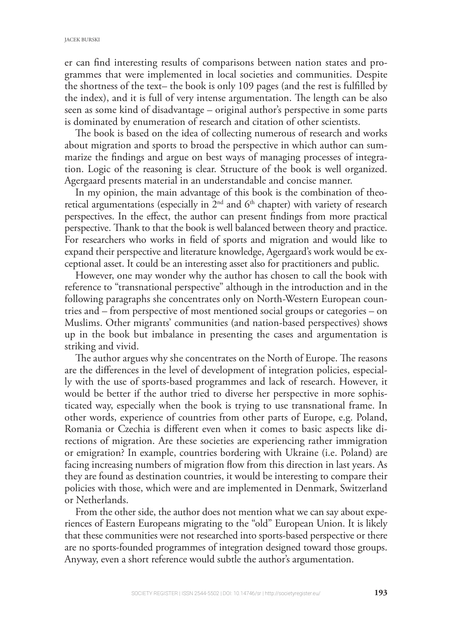er can find interesting results of comparisons between nation states and programmes that were implemented in local societies and communities. Despite the shortness of the text– the book is only 109 pages (and the rest is fullled by the index), and it is full of very intense argumentation. The length can be also seen as some kind of disadvantage – original author's perspective in some parts is dominated by enumeration of research and citation of other scientists.

The book is based on the idea of collecting numerous of research and works about migration and sports to broad the perspective in which author can summarize the findings and argue on best ways of managing processes of integration. Logic of the reasoning is clear. Structure of the book is well organized. Agergaard presents material in an understandable and concise manner.

In my opinion, the main advantage of this book is the combination of theoretical argumentations (especially in  $2<sup>nd</sup>$  and  $6<sup>th</sup>$  chapter) with variety of research perspectives. In the effect, the author can present findings from more practical perspective. Thank to that the book is well balanced between theory and practice. For researchers who works in field of sports and migration and would like to expand their perspective and literature knowledge, Agergaard's work would be exceptional asset. It could be an interesting asset also for practitioners and public.

However, one may wonder why the author has chosen to call the book with reference to "transnational perspective" although in the introduction and in the following paragraphs she concentrates only on North-Western European countries and – from perspective of most mentioned social groups or categories – on Muslims. Other migrants' communities (and nation-based perspectives) shows up in the book but imbalance in presenting the cases and argumentation is striking and vivid.

The author argues why she concentrates on the North of Europe. The reasons are the differences in the level of development of integration policies, especially with the use of sports-based programmes and lack of research. However, it would be better if the author tried to diverse her perspective in more sophisticated way, especially when the book is trying to use transnational frame. In other words, experience of countries from other parts of Europe, e.g. Poland, Romania or Czechia is different even when it comes to basic aspects like directions of migration. Are these societies are experiencing rather immigration or emigration? In example, countries bordering with Ukraine (i.e. Poland) are facing increasing numbers of migration flow from this direction in last years. As they are found as destination countries, it would be interesting to compare their policies with those, which were and are implemented in Denmark, Switzerland or Netherlands.

From the other side, the author does not mention what we can say about experiences of Eastern Europeans migrating to the "old" European Union. It is likely that these communities were not researched into sports-based perspective or there are no sports-founded programmes of integration designed toward those groups. Anyway, even a short reference would subtle the author's argumentation.